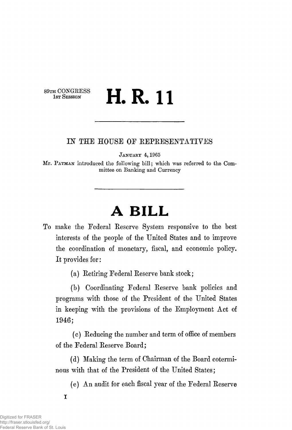# $H$  CONGRESS  $H \cup$   $H \cup$ 1st Session in the latter of the latter of the latter of the latter of the latter of the latter of the latter

### *IN* THE HOUSE OF REPRESENTATIVES

JANUARY 4, 1965

Mr. PATMAN introduced the following bill; which was referred to the Committee on Banking and Currency

# **A BILL**

To make the Federal Reserve System responsive to the best interests of the people of the United States and to improve the coordination of monetary, fiscal, and economic policy. It provides for:

(a) Retiring Federal Reserve bank stock;

(b) Coordinating Federal Reserve bank policies and programs with those of the President of the United States in keeping with the provisions of the Employment Act of 1946;

(c) Reducing the number and term of office of members of the Federal Reserve Board;

(d) Making the term of Chairman of the Board coterminous with that of the President of the United States;

(e) An audit for each fiscal year of the Federal Reserve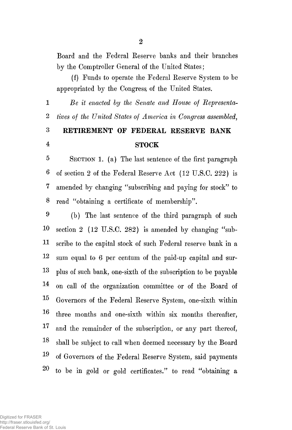Board and the Federal Reserve banks and their branches by the Comptroller General of the United States;

(f) Funds to operate the Federal Reserve System to be appropriated by the Congress, of the United States.

**1** *<i>Be it enacted by the Senate and House of Representa-*2 *tives of the United States of America in Congress assembled,* 

# 3 RETIREMENT OF FEDERAL RESERVE BANK 4 STOCK

5 SECTION 1. (a) The last sentence of the first paragraph 6 of section 2 of the Federal Reserve Act (12 U.S.C. 222) is 7 amended by changing "subscribing and paying for stock" to 8 read "obtaining a certificate of membership".

9 (b) The last sentence of the third paragraph of such 10 section 2 (12 U.S.C. 282) is amended by changing "sub-H scribe to the capital stock of such Federal reserve bank in a 12 sum equal to 6 per centum of the paid-up capital and sur-13 plus of such bank, one-sixth of the subscription to be payable 14 on call of the organization committee or of the Board of  $15$ Governors of the Federal Reserve System, one-sixth within ^ three months and one-sixth within six months thereafter, **17** and the remainder of the subscription, or any part thereof, 18 shall be subject to call when deemed necessary by the Board ^ of Governors of the Federal Reserve System, said payments  $20$  to be in gold or gold certificates." to read "obtaining a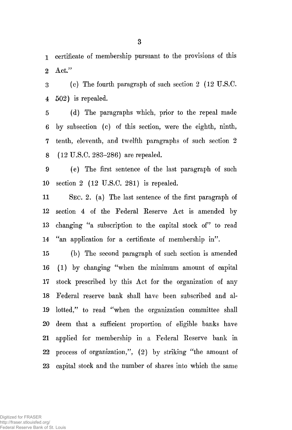1 certificate of membership pursuant to the provisions of this 2 Act."

3 (c) The fourth paragraph of such section 2 (12 U.S.C. 4 502) is repealed.

5 (d) The paragraphs which, prior to the repeal made 6 by subsection (c) of this section, were the eighth, ninth, 7 tenth, eleventh, and twelfth paragraphs of such section 2 8 (12 U.S.C. 283-286) are repealed.

9 (e) The first sentence of the last paragraph of such 10 section 2 (12 U.S.C . 281) is repealed.

11 SEC. 2. (a) The last sentence of the first paragraph of 12 section 4 of the Federal Reserve Act is amended by 13 changing "a subscription to the capital stock of" to read 14 "an application for a certificate of membership in".

15 (b) The second paragraph of such section is amended 16 (1) by changing "when the minimum amount of capital 17 stock prescribed by this Act for the organization of any 18 Federal reserve bank shall have been subscribed and al-19 lotted," to read "when the organization committee shall 20 deem that a sufficient proportion of eligible banks have 21 applied for membership in a Federal Eeserve bank in 22 process of organization,", (2) by striking "the amount of 23 capital stock and the number of shares into which the same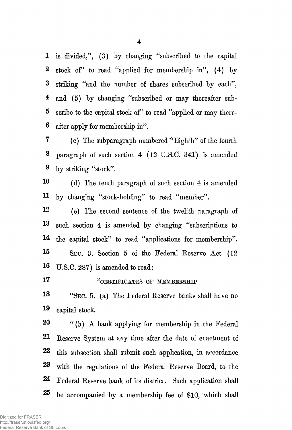1 is divided/', (3) by changing "subscribed to the capital 2 stock of" to read "applied for membership in", (4) by 3 striking "and the number of shares subscribed by each", 4 and (5) by changing "subscribed or may thereafter sub-5 scribe to the capital stock of" to read "applied or may there-6 after apply for membership in".

7 (c) The subparagraph numbered "Eighth" of the fourth 8 paragraph of such section 4 (12 U.S.C. 341) is amended 9 by striking "stock".

10 (d) The tenth paragraph of such section 4 is amended H by changing "stock-holding" to read "member".

12 (e) The second sentence of the twelfth paragraph of 13 such section 4 is amended by changing "subscriptions to 14 the capital stock" to read "applications for membership". 1 5 SEC. 3. Section 5 of the Federal Eeserve Act (12 16 U.S.C. 287) is amended to read :

## 17 **6666 CERTIFICATES OF MEMBERSHIP**

18 "SEC. 5. (a) The Federal Reserve banks shall have no 1® capital stock.

20 " (b) A bank applying for membership in the Federal 21 Reserve System at any time after the date of enactment of 22 this subsection shall submit such application, in accordance 23 with the regulations of the Federal Reserve Board, to the 24 Federal Reserve bank of its district. Such application shall  $25$  be accompanied by a membership fee of \$10, which shall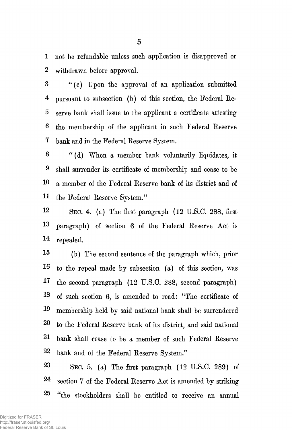1 not be refundable unless such application is disapproved or 2 withdrawn before approval.

3 " (c) Upon the approval of an application submitted 4 pursuant to subsection (b) of this section, the Federal Re-5 serve bank shall issue to the applicant a certificate attesting 6 the membership of the applicant in such Federal Reserve 7 bank and in the Federal Reserve System.

8 " (d) When a member bank voluntarily liquidates, it 9 shall surrender its certificate of membership and cease to be 10 a member of the Federal Reserve bank of its district and of 11 the Federal Reserve System."

12 SEC. 4. (a) The first paragraph (12 U.S.C. 288, first 13 paragraph) of section 6 of the Federal Reserve Act is 14 repealed.

15 (b) The second sentence of the paragraph which, prior 1® to the repeal made by subsection (a) of this section, was the second paragraph (12 U.S.C. 288, second paragraph) I 7 18 of such section 6, is amended to read: "The certificate of 19 membership held by said national bank shall be surrendered **20**  to the Federal Reserve bank of its district, and said national 21 bank shall cease to be a member of such Federal Reserve 22 bank and of the Federal Reserve System."

23 SEC. 5. (a) The first paragraph  $(12 \text{ U.S.C. } 289)$  of 24 section 7 of the Federal Reserve Act is amended by striking  $25$  "the stockholders shall be entitled to receive an annual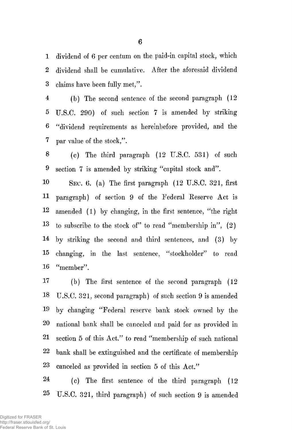1 dividend of 6 per centum on the paid-in capital stock, which 2 dividend shall be cumulative. After the aforesaid dividend 3 claims have been fully met,".

4 (b) The second sentence of the second paragraph (12 5 U.S.C. 290) of such section 7 is amended by striking 6 "dividend requirements as hereinbefore provided, and the 7 par value of the stock,".

8 (0) The third paragraph (12 U.S.C. 531) of such 9 section 7 is amended by striking "capital stock and".

10 SEC. 6. (a) The first paragraph (12 U.S.C. 321, first H paragraph) of section 9 of the Federal Eeserve Act is 12 amended (1) by changing, in the first sentence, "the right  $13$  to subscribe to the stock of" to read "membership in",  $(2)$ 14 by striking the second and third sentences, and (3) by 15 changing, in the last sentence, "stockholder" to read 16 "member".

17 (b) The first sentence of the second paragraph (12 18 U.S.C. 321, second paragraph) of such section 9 is amended 19 by changing "Federal reserve bank stock owned by the 20 national bank shall be canceled and paid for as provided in 21 section 5 of this Act." to read "membership of such national 22 bank shall be extinguished and the certificate of membership 23 canceled as provided in section 5 of this Act."

24 (c) The first sentence of the third paragraph (12 25 U.S.C. 321, third paragraph) of such section 9 is amended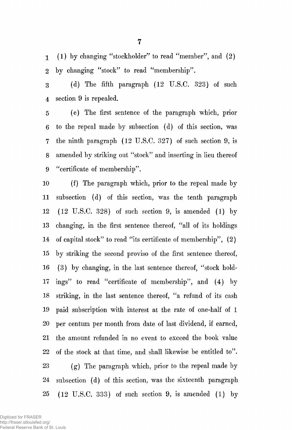1 (1) by changing "stockholder" to read "member", and (2) 2 by changing "stock" to read "membership".

3 (d) The fifth paragraph (12 U.S.C. 323) of such 4 section 9 is repealed.

5 (e) The first sentence of the paragraph which, prior 6 to the repeal made by subsection (d) of this section, was 7 the ninth paragraph (12 U.S.C. 327) of such section 9, is 8 amended by striking out "stock" and inserting in lieu thereof 9 "certificate of membership".

10 (f) The paragraph which, prior to the repeal made by 11 subsection (d) of this section, was the tenth paragraph 12 (12 U.S.C. 328) of such section 9, is amended (1) by 13 changing, in the first sentence thereof, "all of its holdings 14 of capital stock" to read "its certificate of membership", (2) 15 by striking the second proviso of the first sentence thereof, 16 (3) by changing, in the last sentence thereof, "stock hold-17 ings" to read "certificate of membership", and (4) by 18 striking, in the last sentence thereof, "a refund of its cash 19 paid subscription with interest at the rate of one-half of 1 20 per centum per month from date of last dividend, if earned, 21 the amount refunded in no event to exceed the book value 22 of the stock at that time, and shall likewise be entitled to". 23 (g) The paragraph which, prior to the repeal made by 24 subsection (d) of this section, was the sixteenth paragraph 25 (12 U.S.C. 333) of such section 9, is amended (1) by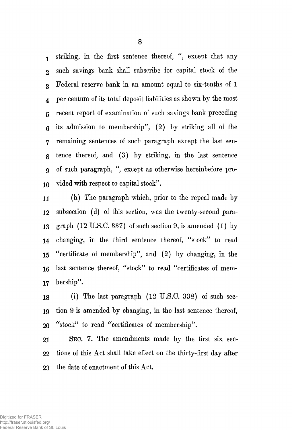1 striking, in the first sentence thereof, ", except that any 2 such savings bank shall subscribe for capital stock of the 3 Federal reserve bank in an amount equal to six-tenths of 1 4 per centum of its total deposit liabilities as shown by the most 5 recent report of examination of such savings bank preceding 6 its admission to membership", (2) by striking all of the 7 remaining sentences of such paragraph except the last seng tence thereof, and (3) by striking, in the last sentence 9 of such paragraph, ", except as otherwise hereinbefore pro-10 vided with respect to capital stock".

11 (h) The paragraph which, prior to the repeal made by 12 subsection (d) of this section, was the twenty-second para-13 graph (12 U.S.C. 337) of such section 9, is amended (1) by 14 changing, in the third sentence thereof, "stock" to read 15 "certificate of membership", and (2) by changing, in the 16 last sentence thereof, "stock" to read "certificates of mem-17 bership".

18 (i) The last paragraph (12 U.S.C. 338) of such seo-19 tion 9 is amended by changing, in the last sentence thereof, 20 "stock" to read "certificates of membership".

21 SEC. 7. The amendments made by the first six sec-22 tions of this Act shall take effect on the thirty-first day after 23 the date of enactment of this Act.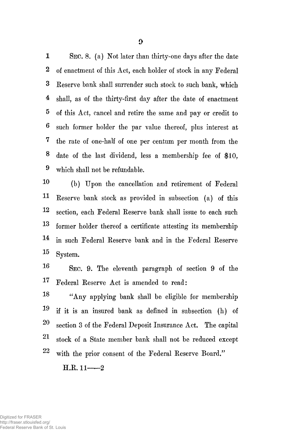1 SEC. 8. (a) Not later than thirty-one days after the date 2 of enactment of this Act, each holder of stock in any Federal 3 Eeserve bank shall surrender such stock to such bank, which 4 shall, as of the thirty-first day after the date of enactment 5 of this Act, cancel and retire the same and pay or credit to 6 such former holder the par value thereof, plus interest at 7 the rate of one-half of one per centum per month from the 8 date of the last dividend, less a membership fee of \$10, 9 which shall not be refundable.

10 (b) Upon the cancellation and retirement of Federal 11 Eeserve bank stock as provided in subsection (a) of this 12 section, each Federal Eeserve bank shall issue to each such 13 former holder thereof a certificate attesting its membership 14 in such Federal Eeserve bank and in the Federal Eeserve  $15$  System.

**16** SEC. 9. The eleventh paragraph of section 9 of the 17 Federal Eeserve Act is amended to read:

18 "Any applying bank shall be eligible for membership **19** if it is an insured bank as defined in subsection (h) of  $20$  section 3 of the Federal Deposit Insurance Act. The capital 21 stock of a State member bank shall not be reduced except 22 with the prior consent of the Federal Eeserve Board,"

 $H.R. 11--2$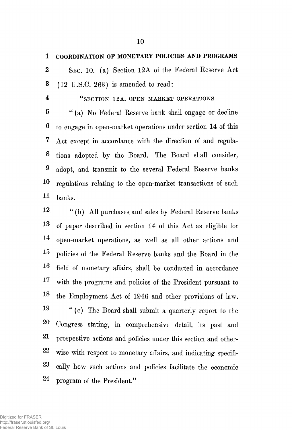1 COORDINATION OF MONETARY POLICIES AND PROGRAMS

2 SEC. 10. (a) Section 12A of the Federal Eeserve Act 3 (12 U.S.C. 263) is amended to read:

4 "SECTION 12A. OPEN MARKET OPERATIONS

5 " (a) No Federal Eeserve bank shall engage or decline 6 to engage in open-market operations under section 14 of this 7 Act except in accordance with the direction of and regula-8 tions adopted by the Board. The Board shall consider, ® adopt, and transmit to the several Federal Eeserve banks 10 regulations relating to the open-market transactions of such  $11$  banks.

12 " (b) All purchases and sales by Federal Reserve banks 13 of paper described in section 14 of this Act as eligible for 14 open-market operations, as well as all other actions and <sup>15</sup> policies of the Federal Reserve banks and the Board in the 16 field of monetary affairs, shall be conducted in accordance 17 with the programs and policies of the President pursuant to 1® the Employment Act of 1946 and other provisions of law. 19 "(c) The Board shall submit a quarterly report to the **20**  Congress stating, in comprehensive detail, its past and 21 prospective actions and policies under this section and other-22 wise with respect to monetary affairs, and indicating specifi-23 cally how such actions and policies facilitate the economic 24 program of the President."

Digitized for FRASER http://fraser.stlouisfed.org/ Federal Reserve Bank of St. Louis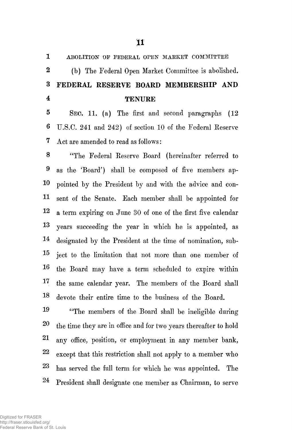| 1                       | ABOLITION OF FEDERAL OPEN MARKET COMMITTEE                   |
|-------------------------|--------------------------------------------------------------|
| $\boldsymbol{2}$        | (b) The Federal Open Market Committee is abolished.          |
| $\bf{3}$                | FEDERAL RESERVE BOARD MEMBERSHIP AND                         |
| $\overline{\mathbf{4}}$ | <b>TENURE</b>                                                |
| $\bf{5}$                | SEC. 11. (a) The first and second paragraphs (12             |
| $\boldsymbol{6}$        | U.S.C. 241 and 242) of section 10 of the Federal Reserve     |
| 7                       | Act are amended to read as follows:                          |
| 8                       | "The Federal Reserve Board (hereinafter referred to          |
| 9                       | as the 'Board') shall be composed of five members ap-        |
| 10                      | pointed by the President by and with the advice and con-     |
| 11                      | sent of the Senate. Each member shall be appointed for       |
| 12                      | a term expiring on June 30 of one of the first five calendar |
| $13\,$                  | years succeeding the year in which he is appointed, as       |
| 14                      | designated by the President at the time of nomination, sub-  |
| $15\,$                  | ject to the limitation that not more than one member of      |
| 16                      | the Board may have a term scheduled to expire within         |
| 17                      | the same calendar year. The members of the Board shall       |
| 18                      | devote their entire time to the business of the Board.       |

19 "The members of the Board shall be ineligible during 20 the time they are in office and for two years thereafter to hold ^ any office, position, or employment in any member bank, 22 except that this restriction shall not apply to a member who 23 bas served the full term for which he was appointed. The 24 President shall designate one member as Chairman, to serve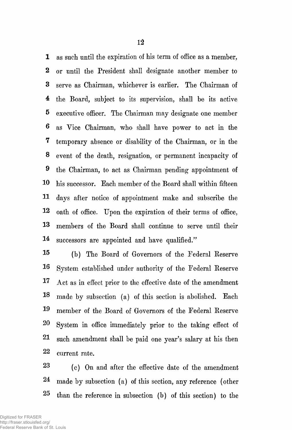1 as such until the expiration of his term of office as a member, **2** or until the President shall designate another member to **3** serve as Chairman, whichever is earlier. The Chairman of **4** the Board, subject to its supervision, shall be its active 5 executive officer. The Chairman may designate one member 6 as Vice Chairman, who shall have power to act in the 7 temporary absence or disability of the Chairman, or in the **8** event of the death, resignation, or permanent incapacity of 9 the Chairman, to act as Chairman pending appointment of 10 his successor. Each member of the Board shall within fifteen 11 days after notice of appointment make and subscribe the 12 oath of office. Upon the expiration of their terms of office, 13 members of the Board shall continue to serve until their 14 successors are appointed and have qualified."

15 (b) The Board of Governors of the Federal Reserve 1® System established under authority of the Federal Reserve 17 Act as in effect prior to the effective date of the amendment 18 made by subsection (a) of this section is abolished. Each 19 member of the Board of Governors of the Federal Reserve 20 System in office immediately prior to the taking effect of 21 such amendment shall be paid one year's salary at his then 22 current rate.

23 (c) On and after the effective date of the amendment 24 made by subsection (a) of this section, any reference (other  $25$  than the reference in subsection (b) of this section) to the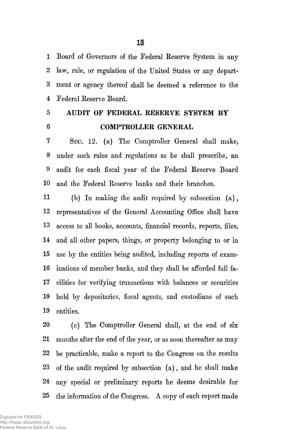1 **2**  3 4 Board of Governors of the Federal Eeserve System in any law, rule, or regulation of the United States or any department or agency thereof shall be deemed a reference to the Federal Reserve Board.

5

**6** 

AUDIT OF FEDERAL RESERVE SYSTEM BY COMPTROLLER GENERAL

7 8 9 **10**  SEC. 12. (a) The Comptroller General shall make, under such rules and regulations as he shall prescribe, an audit for each fiscal year of the Federal Eeserve Board and the Federal Eeserve banks and their branches.

**11 12**  13 14 15 **16**  17 **18**  19 (b) In making the audit required by subsection (a), representatives of the General Accounting Office shall have access to all books, accounts, financial records, reports, files, and all other papers, things, or property belonging to or in use by the entities being audited, including reports of examinations of member banks, and they shall be afforded full facilities for verifying transactions with balances or securities held by depositaries, fiscal agents, and custodians of such entities.

**20 21 22**  23 24  $25$ (c) The Comptroller General shall, at the end of six months after the end of the year, or as soon thereafter as may be practicable, make a report to the Congress on the results of the audit required by subsection (a), and he shall make any special or preliminary reports he deems desirable for the information of the Congress. A copy of each report made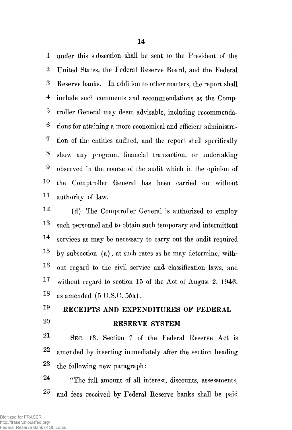1 under this subsection shall be sent to the President of the 2 United States, the Federal Eeserve Board, and the Federal 3 Eeserve banks. In addition to other matters, the report shall 4 include such comments and recommendations as the Comp-5 troller General may deem advisable, including recommenda-6 tions for attaining a more economical and efficient administra-7 tion of the entities audited, and the report shall specifically 8 show any program, financial transaction, or undertaking 9 observed in the course of the audit which in the opinion of 10 the Comptroller General has been carried on without 11 authority of law.

12 (d) The Comptroller General is authorized to employ 13 such personnel and to obtain such temporary and intermittent 14 services as may be necessary to carry out the audit required  $15$  by subsection (a), at such rates as he may determine, with-16 out regard to the civil service and classification laws, and  $17$  without regard to section 15 of the Act of August 2, 1946, 18 as amended (5 U.S.C. 55a).

### $\ddot{\phantom{0}}$ RECEIPTS AND EXPENDITURES OF FEDERAL **20** RESERVE SYSTEM

21 SEC. 13. Section 7 of the Federal Eeserve Act is <sup>2</sup>2 amended by inserting immediately after the section heading 23 the following new paragraph:

24 "The full amount of all interest, discounts, assessments, 25 and fees received by Federal Eeserve banks shall be paid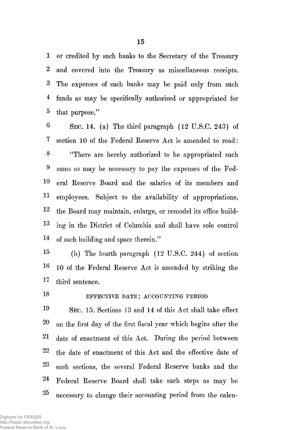1 or credited by such banks to the Secretary of the Treasury 2 and covered into the Treasury as miscellaneous receipts. 3 The expenses of such banks may be paid only from such 4 funds as may be specifically authorized or appropriated for 5 that purpose."

 $6$  SEC. 14. (a) The third paragraph (12 U.S.C, 243) of 7 section 10 of the Federal Reserve Act is amended to read: 8 "There are hereby authorized to be appropriated such 9 sums as may be necessary to pay the expenses of the Fed-10 eral Reserve Board and the salaries of its members and H employees. Subject to the availability of appropriations, 12 the Board may maintain, enlarge, or remodel its office build-13 ing in the District of Columbia and shall have sole control 14 of such building and space therein."

1 5 (b) The fourth paragraph (12 U.S.C. 244) of section 1 6 10 of the Federal Reserve Act is amended by striking the 17 third sentence.

# 18 EFFECTIVE DATE; ACCOUNTING PERIOD

1 9 SEC. 15. Sections 13 and 14 of this Act shall take effect  $20$  on the first day of the first fiscal year which begins after the 21 date of enactment of this Act. During the period between 22 the date of enactment of this Act and the effective date of 23 such sections, the several Federal Reserve banks and the 24 Federal Reserve Board shall take such steps as may be 25 necessary to change their accounting period from the calen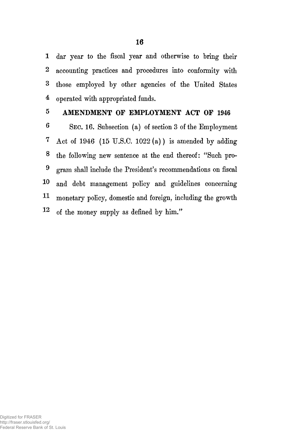1 dar year to the fiscal year and otherwise to bring their 2 accounting practices and procedures into conformity with 3 those employed by other agencies of the United States 4 operated with appropriated funds.

## 5 AMENDMENT OF EMPLOYMENT ACT OF 1946

6 SEC. 16. Subsection (a) of section 3 of the Employment 7 Act of 1946 (15 U.S.C. 1022 $(a)$ ) is amended by adding 8 the following new sentence at the end thereof: "Such pro-9 gram shall include the President's recommendations on fiscal I® and debt management policy and guidelines concerning 11 monetary policy, domestic and foreign, including the growth  $12$  of the money supply as defined by him."